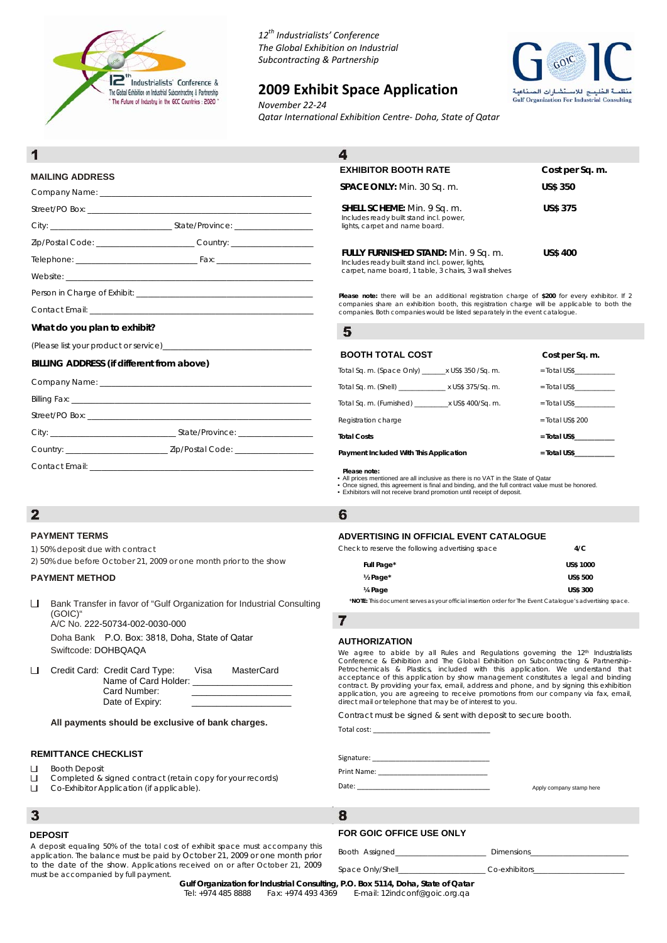

*12th Industrialists' Conference The Global Exhibition on Industrial Subcontracting & Partnership*

# **2009 Exhibit Space Application**



*November 22‐24 Qatar International Exhibition Centre‐ Doha, State of Qatar*

# **MAILING ADDRESS**

| Zip/Postal Code: _____________________________Country: _________________________ |  |
|----------------------------------------------------------------------------------|--|
|                                                                                  |  |
|                                                                                  |  |
|                                                                                  |  |
|                                                                                  |  |

# $\overline{\mathbf{A}}$ **EXHIBITOR BOOTH RATE** Cost per Sq. m. **SPACE ONLY:** Min. 30 Sq. m. **US\$ 350 SHELL SCHEME:** Min. 9 Sq. m. **US\$ 375** Includes ready built stand incl. power, lights, carpet and name board. **FULLY FURNISHED STAND:** Min. 9 Sq. m. **US\$ 400**  Includes ready built stand incl. power, lights, carpet, name board, 1 table, 3 chairs, 3 wall shelves

**Please note:** there will be an additional registration charge of **\$200** for every exhibitor. If 2 companies share an exhibition booth, this registration charge will be applicable to both the companies. Both companies would be listed separately in the event catalogue.

## **What do you plan to exhibit?**

(Please list your product or service)\_\_\_\_\_\_\_\_\_\_\_\_\_\_\_\_\_\_\_\_\_\_\_\_\_\_\_\_\_\_\_\_\_\_\_\_\_\_

## **BILLING ADDRESS (if different from above)**

| Contact Email: Executive Contact Email: All and the Contact Email: All and the Contact Email: |
|-----------------------------------------------------------------------------------------------|

# **BOOTH TOTAL COST Cost per Sq. m.**

5

| <u>DUUTITUTAL UUJI</u>                                       | <b>COST DEL 3Y. III.</b> |
|--------------------------------------------------------------|--------------------------|
| Total Sq. m. (Space Only) x US\$ 350 /Sq. m.                 | $=$ Total US\$           |
| Total Sq. m. (Shell) _____________________ x US\$ 375/Sq. m. | $=$ Total US\$           |
|                                                              | $=$ Total US\$           |
| Registration charge                                          | $=$ Total US\$ 200       |
| <b>Total Costs</b>                                           | $=$ Total US\$           |
| Payment Included With This Application                       | $=$ Total US\$           |
|                                                              |                          |

- **Please note:** • All prices mentioned are all inclusive as there is no VAT in the State of Qatar
- Once signed, this agreement is final and binding, and the full contract value must be honored. Exhibitors will not receive brand promotion until receipt of deposit.

## 6

## **ADVERTISING IN OFFICIAL EVENT CATALOGUE**

| Check to reserve the following advertising space | 4/C              |
|--------------------------------------------------|------------------|
| Full Page*                                       | <b>US\$ 1000</b> |
| $\frac{1}{2}$ Page <sup>*</sup>                  | <b>US\$ 500</b>  |
| 1/ <sub>4</sub> Page                             | <b>US\$ 300</b>  |

\***NOTE:** This document serves as your official insertion order for The Event Catalogue's advertising space.

# $\overline{7}$

## **AUTHORIZATION**

We agree to abide by all Rules and Regulations governing the 12<sup>th</sup> Industrialists<br>Conference & Exhibition and The Global Exhibition on Subcontracting & Partnership-Petrochemicals & Plastics, included with this application. We understand that acceptance of this application by show management constitutes a legal and binding contract. By providing your fax, email, address and phone, and by signing this exhibition application, you are agreeing to receive promotions from our company via fax, email, direct mail or telephone that may be of interest to you.

Contract must be signed & sent with deposit to secure booth.

Total cost:

Signature:

Print Name:

Date:

# **FOR GOIC OFFICE USE ONLY**

Booth Assigned **Example 20** Dimensions

Space Only/Shell\_\_\_\_\_\_\_\_\_\_\_\_\_\_\_\_\_\_\_\_\_\_\_\_\_\_\_\_\_Co-exhibitors

Apply company stamp here

must be accompanied by full payment.

**Gulf Organization for Industrial Consulting, P.O. Box 5114, Doha, State of Qatar<br>Tel: +974 485 8888 Fax: +974 493 4369 E-mail: 12indconf@goic.org.ga** E-mail: 12indconf@goic.org.ga

8

# $\overline{2}$

### **PAYMENT TERMS**

1) 50% deposit due with contract

2) 50% due before October 21, 2009 or one month prior to the show

### **PAYMENT METHOD**

- **LI** Bank Transfer in favor of "Gulf Organization for Industrial Consulting (GOIC)" A/C No. 222-50734-002-0030-000 Doha Bank P.O. Box: 3818, Doha, State of Qatar
- □ Credit Card: Credit Card Type: Visa MasterCard Name of Card Holder: Card Number: Date of Expiry:

### **All payments should be exclusive of bank charges.**

## **REMITTANCE CHECKLIST**

- Booth Deposit  $\mathbf{L}$
- $\Box$
- 

 $\overline{\mathbf{3}}$ 

## **DEPOSIT**

Swiftcode: DOHBQAQA

# Completed & signed contract (retain copy for your records)

### $\Box$ Co-Exhibitor Application (if applicable).

A deposit equaling 50% of the total cost of exhibit space must accompany this application. The balance must be paid by October 21, 2009 or one month prior to the date of the show. Applications received on or after October 21, 2009